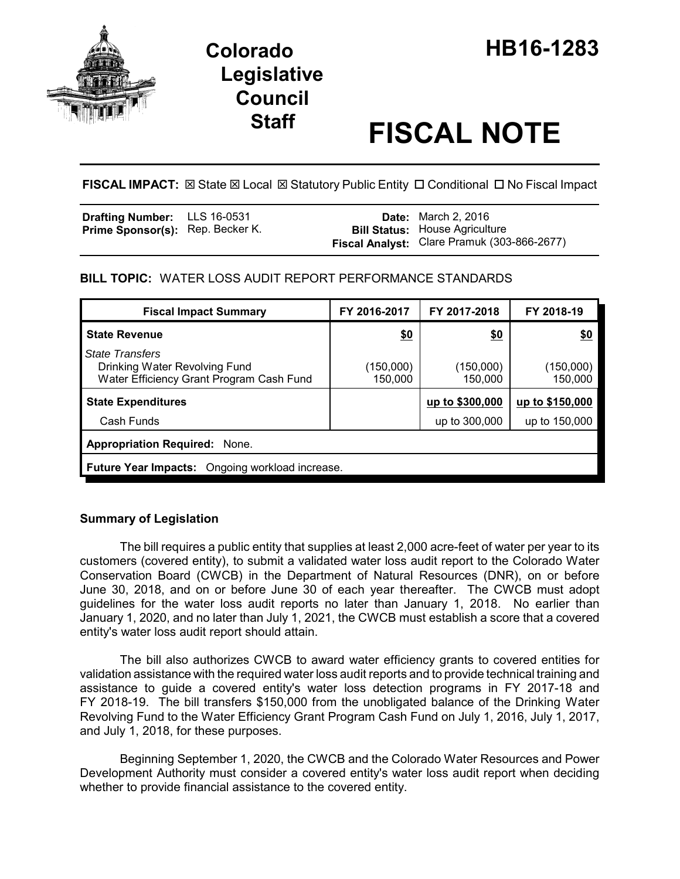

# **Staff FISCAL NOTE**

**FISCAL IMPACT:**  $\boxtimes$  State  $\boxtimes$  Local  $\boxtimes$  Statutory Public Entity  $\Box$  Conditional  $\Box$  No Fiscal Impact

| <b>Drafting Number:</b> LLS 16-0531     |  | <b>Date:</b> March 2, 2016                                                           |
|-----------------------------------------|--|--------------------------------------------------------------------------------------|
| <b>Prime Sponsor(s):</b> Rep. Becker K. |  | <b>Bill Status: House Agriculture</b><br>Fiscal Analyst: Clare Pramuk (303-866-2677) |

# **BILL TOPIC:** WATER LOSS AUDIT REPORT PERFORMANCE STANDARDS

| <b>Fiscal Impact Summary</b>                                                                        | FY 2016-2017         | FY 2017-2018         | FY 2018-19           |  |  |
|-----------------------------------------------------------------------------------------------------|----------------------|----------------------|----------------------|--|--|
| <b>State Revenue</b>                                                                                | \$0                  | <u>\$0</u>           | <u>\$0</u>           |  |  |
| <b>State Transfers</b><br>Drinking Water Revolving Fund<br>Water Efficiency Grant Program Cash Fund | (150,000)<br>150,000 | (150,000)<br>150,000 | (150,000)<br>150,000 |  |  |
| <b>State Expenditures</b>                                                                           |                      | up to \$300,000      | up to \$150,000      |  |  |
| Cash Funds                                                                                          |                      | up to 300,000        | up to 150,000        |  |  |
| <b>Appropriation Required: None.</b>                                                                |                      |                      |                      |  |  |
| <b>Future Year Impacts:</b> Ongoing workload increase.                                              |                      |                      |                      |  |  |

## **Summary of Legislation**

The bill requires a public entity that supplies at least 2,000 acre-feet of water per year to its customers (covered entity), to submit a validated water loss audit report to the Colorado Water Conservation Board (CWCB) in the Department of Natural Resources (DNR), on or before June 30, 2018, and on or before June 30 of each year thereafter. The CWCB must adopt guidelines for the water loss audit reports no later than January 1, 2018. No earlier than January 1, 2020, and no later than July 1, 2021, the CWCB must establish a score that a covered entity's water loss audit report should attain.

The bill also authorizes CWCB to award water efficiency grants to covered entities for validation assistance with the required water loss audit reports and to provide technical training and assistance to guide a covered entity's water loss detection programs in FY 2017-18 and FY 2018-19. The bill transfers \$150,000 from the unobligated balance of the Drinking Water Revolving Fund to the Water Efficiency Grant Program Cash Fund on July 1, 2016, July 1, 2017, and July 1, 2018, for these purposes.

Beginning September 1, 2020, the CWCB and the Colorado Water Resources and Power Development Authority must consider a covered entity's water loss audit report when deciding whether to provide financial assistance to the covered entity.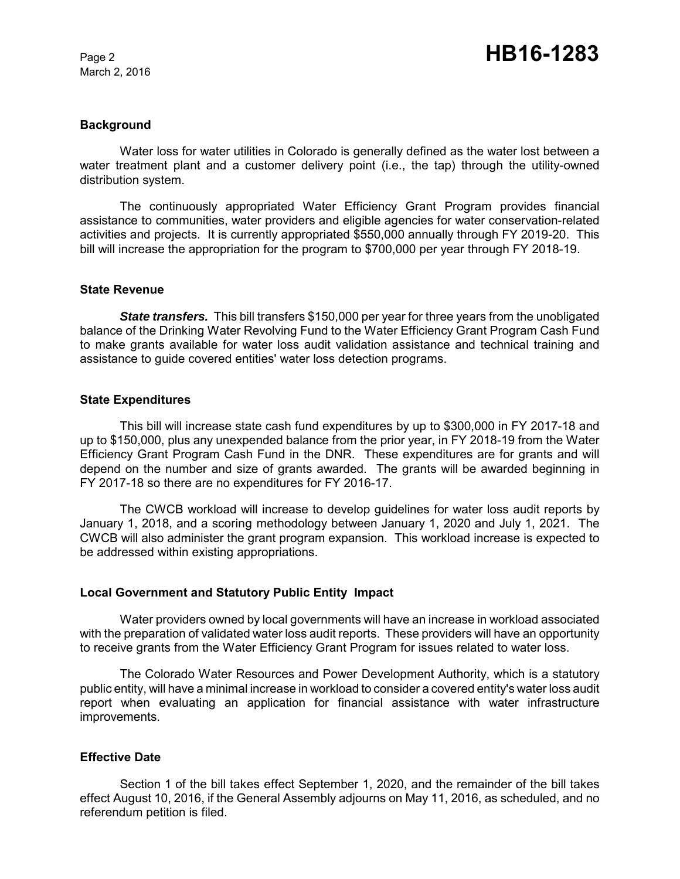March 2, 2016

#### **Background**

Water loss for water utilities in Colorado is generally defined as the water lost between a water treatment plant and a customer delivery point (i.e., the tap) through the utility-owned distribution system.

The continuously appropriated Water Efficiency Grant Program provides financial assistance to communities, water providers and eligible agencies for water conservation-related activities and projects. It is currently appropriated \$550,000 annually through FY 2019-20. This bill will increase the appropriation for the program to \$700,000 per year through FY 2018-19.

#### **State Revenue**

*State transfers.* This bill transfers \$150,000 per year for three years from the unobligated balance of the Drinking Water Revolving Fund to the Water Efficiency Grant Program Cash Fund to make grants available for water loss audit validation assistance and technical training and assistance to guide covered entities' water loss detection programs.

#### **State Expenditures**

This bill will increase state cash fund expenditures by up to \$300,000 in FY 2017-18 and up to \$150,000, plus any unexpended balance from the prior year, in FY 2018-19 from the Water Efficiency Grant Program Cash Fund in the DNR. These expenditures are for grants and will depend on the number and size of grants awarded. The grants will be awarded beginning in FY 2017-18 so there are no expenditures for FY 2016-17.

The CWCB workload will increase to develop guidelines for water loss audit reports by January 1, 2018, and a scoring methodology between January 1, 2020 and July 1, 2021. The CWCB will also administer the grant program expansion. This workload increase is expected to be addressed within existing appropriations.

#### **Local Government and Statutory Public Entity Impact**

Water providers owned by local governments will have an increase in workload associated with the preparation of validated water loss audit reports. These providers will have an opportunity to receive grants from the Water Efficiency Grant Program for issues related to water loss.

The Colorado Water Resources and Power Development Authority, which is a statutory public entity, will have a minimal increase in workload to consider a covered entity's water loss audit report when evaluating an application for financial assistance with water infrastructure improvements.

### **Effective Date**

Section 1 of the bill takes effect September 1, 2020, and the remainder of the bill takes effect August 10, 2016, if the General Assembly adjourns on May 11, 2016, as scheduled, and no referendum petition is filed.